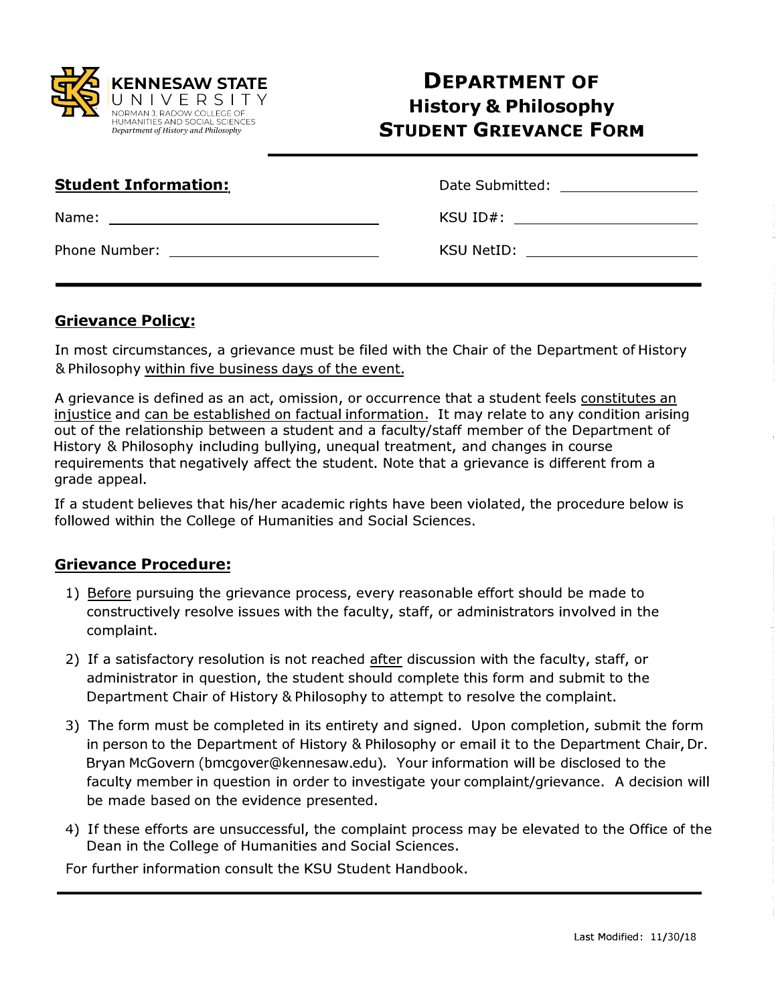

## **DEPARTMENT OF History & Philosophy STUDENT GRIEVANCE FORM**

| <b>Student Information:</b> | Date Submitted: \\square\\square\\square\\square\\square\\square\\square\\square\                                                                                                                                             |
|-----------------------------|-------------------------------------------------------------------------------------------------------------------------------------------------------------------------------------------------------------------------------|
|                             | KSU ID#: will be a series of the series of the series of the series of the series of the series of the series of the series of the series of the series of the series of the series of the series of the series of the series |
| <b>Phone Number:</b>        | KSU NetID:<br><u> 1989 - John Harry Harry Harry Harry Harry Harry Harry Harry Harry Harry Harry Harry Harry Harry Harry Harry</u>                                                                                             |

## **Grievance Policy:**

In most circumstances, a grievance must be filed with the Chair of the Department of History & Philosophy within five business days of the event.

A grievance is defined as an act, omission, or occurrence that a student feels constitutes an injustice and can be established on factual information. It may relate to any condition arising out of the relationship between a student and a faculty/staff member of the Department of History & Philosophy including bullying, unequal treatment, and changes in course requirements that negatively affect the student. Note that a grievance is different from a grade appeal.

If a student believes that his/her academic rights have been violated, the procedure below is followed within the College of Humanities and Social Sciences.

## **Grievance Procedure:**

- 1) Before pursuing the grievance process, every reasonable effort should be made to constructively resolve issues with the faculty, staff, or administrators involved in the complaint.
- 2) If a satisfactory resolution is not reached after discussion with the faculty, staff, or administrator in question, the student should complete this form and submit to the Department Chair of History & Philosophy to attempt to resolve the complaint.
- 3) The form must be completed in its entirety and signed. Upon completion, submit the form in person to the Department of History & Philosophy or email it to the Department Chair, Dr. Bryan McGovern (bmcgover@kennesaw.edu). Your information will be disclosed to the faculty member in question in order to investigate your complaint/grievance. A decision will be made based on the evidence presented.
- 4) If these efforts are unsuccessful, the complaint process may be elevated to the Office of the Dean in the College of Humanities and Social Sciences.

For further information consult the KSU Student Handbook.